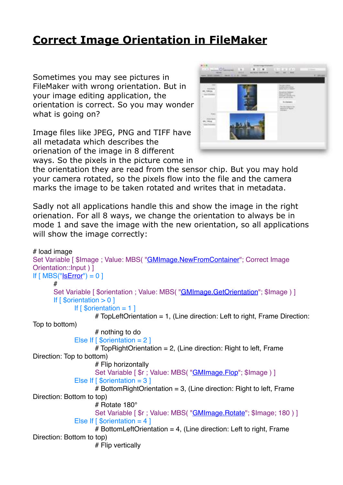## **[Correct Image Orientation in FileMaker](https://www.mbs-plugins.com/archive/2018-11-09/Correct_Image_Orientation_in_F/monkeybreadsoftware_blog_filemaker)**

Sometimes you may see pictures in FileMaker with wrong orientation. But in your image editing application, the orientation is correct. So you may wonder what is going on?

Image files like JPEG, PNG and TIFF have all metadata which describes the orienation of the image in 8 different ways. So the pixels in the picture come in



the orientation they are read from the sensor chip. But you may hold your camera rotated, so the pixels flow into the file and the camera marks the image to be taken rotated and writes that in metadata.

Sadly not all applications handle this and show the image in the right orienation. For all 8 ways, we change the orientation to always be in mode 1 and save the image with the new orientation, so all applications will show the image correctly:

```
# load image
"GMImage.NewFromContainer"; Correct Image
Orientation::Input ) ]
If IsError") = 0]#
      "GMImage.GetOrientation"; $Image ) ]
      If \lceil $orientation > 0 ]
            If \lceil $orientation = 1 ]
                   # TopLeftOrientation = 1, (Line direction: Left to right, Frame Direction: 
Top to bottom)
                   # nothing to do
            Else If [ \text{Sorientation} = 2 ]
                   # TopRightOrientation = 2, (Line direction: Right to left, Frame 
Direction: Top to bottom)
                   # Flip horizontally
                   "GMImage.Flop"; $Image) ]
            Else If [ \text{Sorientation} = 3 ]
                   # BottomRightOrientation = 3, (Line direction: Right to left, Frame
Direction: Bottom to top)
                   # Rotate 180°
                   Set Variable [$r ; Value: MBS( "GMImage. Rotate"; $Image; 180 ) ]
            Else If \lceil Sorientation = 4 \rceil# BottomLeftOrientation = 4, (Line direction: Left to right, Frame
Direction: Bottom to top)
                   # Flip vertically
```